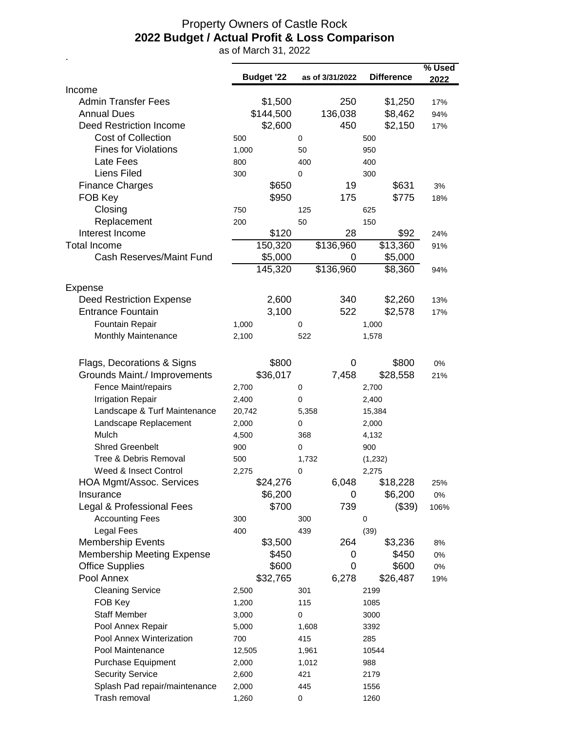## Property Owners of Castle Rock **2022 Budget / Actual Profit & Loss Comparison**

as of March 31, 2022

.

|                                   |                   |       |                 |                   | % Used |
|-----------------------------------|-------------------|-------|-----------------|-------------------|--------|
| Income                            | <b>Budget '22</b> |       | as of 3/31/2022 | <b>Difference</b> | 2022   |
| <b>Admin Transfer Fees</b>        | \$1,500           |       | 250             | \$1,250           | 17%    |
| <b>Annual Dues</b>                | \$144,500         |       | 136,038         | \$8,462           | 94%    |
| <b>Deed Restriction Income</b>    | \$2,600           |       | 450             | \$2,150           | 17%    |
| Cost of Collection                | 500               | 0     |                 | 500               |        |
| <b>Fines for Violations</b>       | 1,000             | 50    |                 | 950               |        |
| Late Fees                         | 800               | 400   |                 | 400               |        |
| Liens Filed                       | 300               | 0     |                 | 300               |        |
| <b>Finance Charges</b>            | \$650             |       | 19              | \$631             | 3%     |
| FOB Key                           | \$950             |       | 175             | \$775             | 18%    |
| Closing                           | 750               | 125   |                 | 625               |        |
| Replacement                       | 200               | 50    |                 | 150               |        |
| Interest Income                   | \$120             |       | 28              | \$92              | 24%    |
| <b>Total Income</b>               | 150,320           |       | \$136,960       | \$13,360          | 91%    |
| <b>Cash Reserves/Maint Fund</b>   | \$5,000           |       | 0               | \$5,000           |        |
|                                   | 145,320           |       | \$136,960       | \$8,360           | 94%    |
|                                   |                   |       |                 |                   |        |
| Expense                           |                   |       |                 |                   |        |
| <b>Deed Restriction Expense</b>   | 2,600             |       | 340             | \$2,260           | 13%    |
| <b>Entrance Fountain</b>          | 3,100             |       | 522             | \$2,578           | 17%    |
| Fountain Repair                   | 1,000             | 0     |                 | 1,000             |        |
| Monthly Maintenance               | 2,100             | 522   |                 | 1,578             |        |
| Flags, Decorations & Signs        | \$800             |       | $\mathbf 0$     | \$800             | 0%     |
| Grounds Maint./ Improvements      | \$36,017          |       | 7,458           | \$28,558          | 21%    |
| Fence Maint/repairs               | 2,700             | 0     |                 | 2,700             |        |
| <b>Irrigation Repair</b>          | 2,400             | 0     |                 | 2,400             |        |
| Landscape & Turf Maintenance      | 20,742            | 5,358 |                 | 15,384            |        |
| Landscape Replacement             | 2,000             | 0     |                 | 2,000             |        |
| Mulch                             | 4,500             | 368   |                 | 4,132             |        |
| <b>Shred Greenbelt</b>            | 900               | 0     |                 | 900               |        |
| Tree & Debris Removal             | 500               | 1,732 |                 | (1, 232)          |        |
| Weed & Insect Control             | 2,275             | 0     |                 | 2,275             |        |
| <b>HOA Mgmt/Assoc. Services</b>   | \$24,276          |       | 6,048           | \$18,228          | 25%    |
| Insurance                         | \$6,200           |       | 0               | \$6,200           | $0\%$  |
| Legal & Professional Fees         | \$700             |       | 739             | (\$39)            | 106%   |
| <b>Accounting Fees</b>            | 300               | 300   |                 | 0                 |        |
| <b>Legal Fees</b>                 | 400               | 439   |                 | (39)              |        |
| <b>Membership Events</b>          | \$3,500           |       | 264             | \$3,236           | 8%     |
| <b>Membership Meeting Expense</b> | \$450             |       | 0               | \$450             | $0\%$  |
| <b>Office Supplies</b>            | \$600             |       | 0               | \$600             | 0%     |
| Pool Annex                        | \$32,765          |       | 6,278           | \$26,487          | 19%    |
| <b>Cleaning Service</b>           | 2,500             | 301   |                 | 2199              |        |
| FOB Key                           | 1,200             | 115   |                 | 1085              |        |
| <b>Staff Member</b>               | 3,000             | 0     |                 | 3000              |        |
| Pool Annex Repair                 | 5,000             | 1,608 |                 | 3392              |        |
| Pool Annex Winterization          | 700               | 415   |                 | 285               |        |
| Pool Maintenance                  | 12,505            | 1,961 |                 | 10544             |        |
| <b>Purchase Equipment</b>         | 2,000             | 1,012 |                 | 988               |        |
| <b>Security Service</b>           | 2,600             | 421   |                 | 2179              |        |
| Splash Pad repair/maintenance     | 2,000             | 445   |                 | 1556              |        |
| Trash removal                     | 1,260             | 0     |                 | 1260              |        |